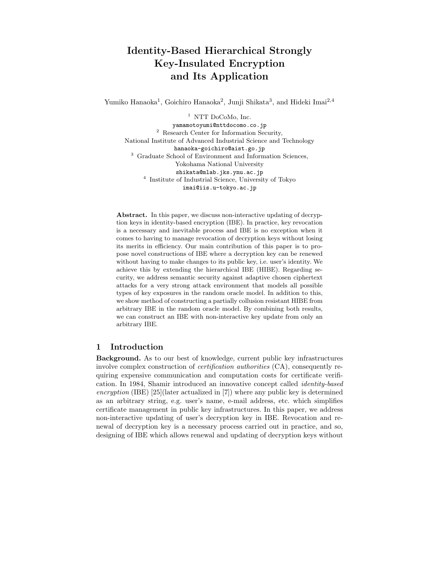# **Identity-Based Hierarchical Strongly Key-Insulated Encryption and Its Application**

Yumiko Hanaoka<sup>1</sup>, Goichiro Hanaoka<sup>2</sup>, Junji Shikata<sup>3</sup>, and Hideki Imai<sup>2,4</sup>

<sup>1</sup> NTT DoCoMo, Inc.

yamamotoyumi@nttdocomo.co.jp <sup>2</sup> Research Center for Information Security, National Institute of Advanced Industrial Science and Technology hanaoka-goichiro@aist.go.jp <sup>3</sup> Graduate School of Environment and Information Sciences, Yokohama National University shikata@mlab.jks.ynu.ac.jp <sup>4</sup> Institute of Industrial Science, University of Tokyo imai@iis.u-tokyo.ac.jp

**Abstract.** In this paper, we discuss non-interactive updating of decryption keys in identity-based encryption (IBE). In practice, key revocation is a necessary and inevitable process and IBE is no exception when it comes to having to manage revocation of decryption keys without losing its merits in efficiency. Our main contribution of this paper is to propose novel constructions of IBE where a decryption key can be renewed without having to make changes to its public key, i.e. user's identity. We achieve this by extending the hierarchical IBE (HIBE). Regarding security, we address semantic security against adaptive chosen ciphertext attacks for a very strong attack environment that models all possible types of key exposures in the random oracle model. In addition to this, we show method of constructing a partially collusion resistant HIBE from arbitrary IBE in the random oracle model. By combining both results, we can construct an IBE with non-interactive key update from only an arbitrary IBE.

## **1 Introduction**

**Background.** As to our best of knowledge, current public key infrastructures involve complex construction of *certification authorities* (CA), consequently requiring expensive communication and computation costs for certificate verification. In 1984, Shamir introduced an innovative concept called *identity-based encryption* (IBE) [25](later actualized in [7]) where any public key is determined as an arbitrary string, e.g. user's name, e-mail address, etc. which simplifies certificate management in public key infrastructures. In this paper, we address non-interactive updating of user's decryption key in IBE. Revocation and renewal of decryption key is a necessary process carried out in practice, and so, designing of IBE which allows renewal and updating of decryption keys without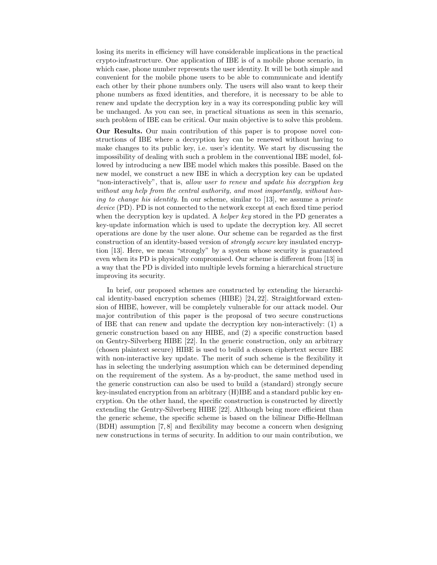losing its merits in efficiency will have considerable implications in the practical crypto-infrastructure. One application of IBE is of a mobile phone scenario, in which case, phone number represents the user identity. It will be both simple and convenient for the mobile phone users to be able to communicate and identify each other by their phone numbers only. The users will also want to keep their phone numbers as fixed identities, and therefore, it is necessary to be able to renew and update the decryption key in a way its corresponding public key will be unchanged. As you can see, in practical situations as seen in this scenario, such problem of IBE can be critical. Our main objective is to solve this problem.

**Our Results.** Our main contribution of this paper is to propose novel constructions of IBE where a decryption key can be renewed without having to make changes to its public key, i.e. user's identity. We start by discussing the impossibility of dealing with such a problem in the conventional IBE model, followed by introducing a new IBE model which makes this possible. Based on the new model, we construct a new IBE in which a decryption key can be updated "non-interactively", that is, *allow user to renew and update his decryption key without any help from the central authority, and most importantly, without having to change his identity.* In our scheme, similar to [13], we assume a *private device* (PD). PD is not connected to the network except at each fixed time period when the decryption key is updated. A *helper key* stored in the PD generates a key-update information which is used to update the decryption key. All secret operations are done by the user alone. Our scheme can be regarded as the first construction of an identity-based version of *strongly secure* key insulated encryption [13]. Here, we mean "strongly" by a system whose security is guaranteed even when its PD is physically compromised. Our scheme is different from [13] in a way that the PD is divided into multiple levels forming a hierarchical structure improving its security.

In brief, our proposed schemes are constructed by extending the hierarchical identity-based encryption schemes (HIBE) [24, 22]. Straightforward extension of HIBE, however, will be completely vulnerable for our attack model. Our major contribution of this paper is the proposal of two secure constructions of IBE that can renew and update the decryption key non-interactively: (1) a generic construction based on any HIBE, and (2) a specific construction based on Gentry-Silverberg HIBE [22]. In the generic construction, only an arbitrary (chosen plaintext secure) HIBE is used to build a chosen ciphertext secure IBE with non-interactive key update. The merit of such scheme is the flexibility it has in selecting the underlying assumption which can be determined depending on the requirement of the system. As a by-product, the same method used in the generic construction can also be used to build a (standard) strongly secure key-insulated encryption from an arbitrary (H)IBE and a standard public key encryption. On the other hand, the specific construction is constructed by directly extending the Gentry-Silverberg HIBE [22]. Although being more efficient than the generic scheme, the specific scheme is based on the bilinear Diffie-Hellman (BDH) assumption [7, 8] and flexibility may become a concern when designing new constructions in terms of security. In addition to our main contribution, we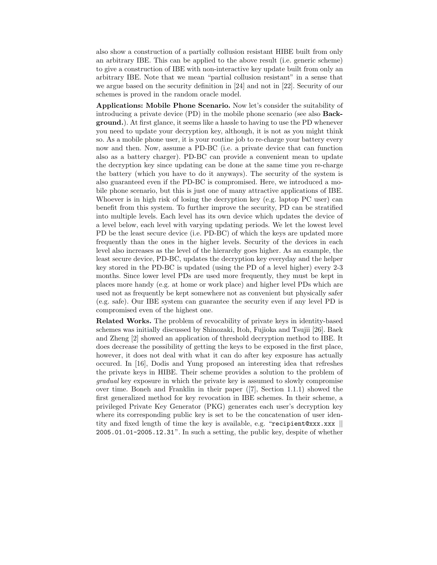also show a construction of a partially collusion resistant HIBE built from only an arbitrary IBE. This can be applied to the above result (i.e. generic scheme) to give a construction of IBE with non-interactive key update built from only an arbitrary IBE. Note that we mean "partial collusion resistant" in a sense that we argue based on the security definition in [24] and not in [22]. Security of our schemes is proved in the random oracle model.

**Applications: Mobile Phone Scenario.** Now let's consider the suitability of introducing a private device (PD) in the mobile phone scenario (see also **Background.**). At first glance, it seems like a hassle to having to use the PD whenever you need to update your decryption key, although, it is not as you might think so. As a mobile phone user, it is your routine job to re-charge your battery every now and then. Now, assume a PD-BC (i.e. a private device that can function also as a battery charger). PD-BC can provide a convenient mean to update the decryption key since updating can be done at the same time you re-charge the battery (which you have to do it anyways). The security of the system is also guaranteed even if the PD-BC is compromised. Here, we introduced a mobile phone scenario, but this is just one of many attractive applications of IBE. Whoever is in high risk of losing the decryption key (e.g. laptop PC user) can benefit from this system. To further improve the security, PD can be stratified into multiple levels. Each level has its own device which updates the device of a level below, each level with varying updating periods. We let the lowest level PD be the least secure device (i.e. PD-BC) of which the keys are updated more frequently than the ones in the higher levels. Security of the devices in each level also increases as the level of the hierarchy goes higher. As an example, the least secure device, PD-BC, updates the decryption key everyday and the helper key stored in the PD-BC is updated (using the PD of a level higher) every 2-3 months. Since lower level PDs are used more frequently, they must be kept in places more handy (e.g. at home or work place) and higher level PDs which are used not as frequently be kept somewhere not as convenient but physically safer (e.g. safe). Our IBE system can guarantee the security even if any level PD is compromised even of the highest one.

**Related Works.** The problem of revocability of private keys in identity-based schemes was initially discussed by Shinozaki, Itoh, Fujioka and Tsujii [26]. Baek and Zheng [2] showed an application of threshold decryption method to IBE. It does decrease the possibility of getting the keys to be exposed in the first place, however, it does not deal with what it can do after key exposure has actually occured. In [16], Dodis and Yung proposed an interesting idea that refreshes the private keys in HIBE. Their scheme provides a solution to the problem of *gradual* key exposure in which the private key is assumed to slowly compromise over time. Boneh and Franklin in their paper ([7], Section 1.1.1) showed the first generalized method for key revocation in IBE schemes. In their scheme, a privileged Private Key Generator (PKG) generates each user's decryption key where its corresponding public key is set to be the concatenation of user identity and fixed length of time the key is available, e.g. "recipient@xxx.xxx  $||$ 2005.01.01-2005.12.31". In such a setting, the public key, despite of whether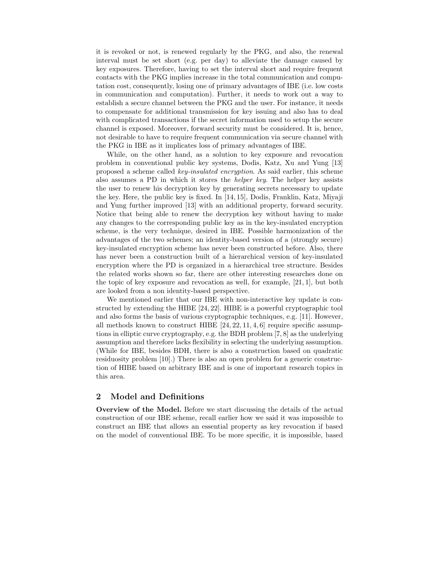it is revoked or not, is renewed regularly by the PKG, and also, the renewal interval must be set short (e.g. per day) to alleviate the damage caused by key exposures. Therefore, having to set the interval short and require frequent contacts with the PKG implies increase in the total communication and computation cost, consequently, losing one of primary advantages of IBE (i.e. low costs in communication and computation). Further, it needs to work out a way to establish a secure channel between the PKG and the user. For instance, it needs to compensate for additional transmission for key issuing and also has to deal with complicated transactions if the secret information used to setup the secure channel is exposed. Moreover, forward security must be considered. It is, hence, not desirable to have to require frequent communication via secure channel with the PKG in IBE as it implicates loss of primary advantages of IBE.

While, on the other hand, as a solution to key exposure and revocation problem in conventional public key systems, Dodis, Katz, Xu and Yung [13] proposed a scheme called *key-insulated encryption*. As said earlier, this scheme also assumes a PD in which it stores the *helper key*. The helper key assists the user to renew his decryption key by generating secrets necessary to update the key. Here, the public key is fixed. In [14, 15], Dodis, Franklin, Katz, Miyaji and Yung further improved [13] with an additional property, forward security. Notice that being able to renew the decryption key without having to make any changes to the corresponding public key as in the key-insulated encryption scheme, is the very technique, desired in IBE. Possible harmonization of the advantages of the two schemes; an identity-based version of a (strongly secure) key-insulated encryption scheme has never been constructed before. Also, there has never been a construction built of a hierarchical version of key-insulated encryption where the PD is organized in a hierarchical tree structure. Besides the related works shown so far, there are other interesting researches done on the topic of key exposure and revocation as well, for example, [21, 1], but both are looked from a non identity-based perspective.

We mentioned earlier that our IBE with non-interactive key update is constructed by extending the HIBE [24, 22]. HIBE is a powerful cryptographic tool and also forms the basis of various cryptographic techniques, e.g. [11]. However, all methods known to construct HIBE [24, 22, 11, 4, 6] require specific assumptions in elliptic curve cryptography, e.g. the BDH problem [7, 8] as the underlying assumption and therefore lacks flexibility in selecting the underlying assumption. (While for IBE, besides BDH, there is also a construction based on quadratic residuosity problem [10].) There is also an open problem for a generic construction of HIBE based on arbitrary IBE and is one of important research topics in this area.

## **2 Model and Definitions**

**Overview of the Model.** Before we start discussing the details of the actual construction of our IBE scheme, recall earlier how we said it was impossible to construct an IBE that allows an essential property as key revocation if based on the model of conventional IBE. To be more specific, it is impossible, based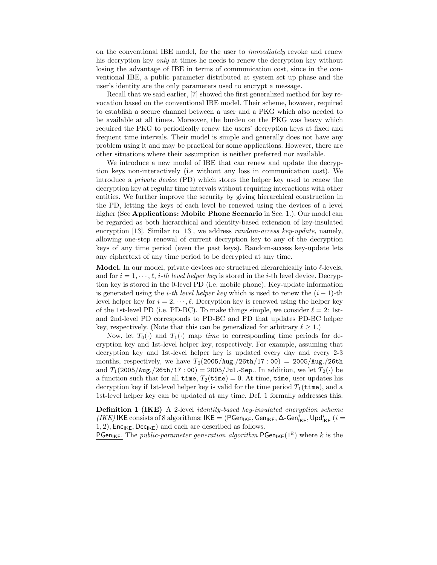on the conventional IBE model, for the user to *immediately* revoke and renew his decryption key *only* at times he needs to renew the decryption key without losing the advantage of IBE in terms of communication cost, since in the conventional IBE, a public parameter distributed at system set up phase and the user's identity are the only parameters used to encrypt a message.

Recall that we said earlier, [7] showed the first generalized method for key revocation based on the conventional IBE model. Their scheme, however, required to establish a secure channel between a user and a PKG which also needed to be available at all times. Moreover, the burden on the PKG was heavy which required the PKG to periodically renew the users' decryption keys at fixed and frequent time intervals. Their model is simple and generally does not have any problem using it and may be practical for some applications. However, there are other situations where their assumption is neither preferred nor available.

We introduce a new model of IBE that can renew and update the decryption keys non-interactively (i.e without any loss in communication cost). We introduce a *private device* (PD) which stores the helper key used to renew the decryption key at regular time intervals without requiring interactions with other entities. We further improve the security by giving hierarchical construction in the PD, letting the keys of each level be renewed using the devices of a level higher (See **Applications: Mobile Phone Scenario** in Sec. 1.). Our model can be regarded as both hierarchical and identity-based extension of key-insulated encryption [13]. Similar to [13], we address *random-access key-update*, namely, allowing one-step renewal of current decryption key to any of the decryption keys of any time period (even the past keys). Random-access key-update lets any ciphertext of any time period to be decrypted at any time.

**Model.** In our model, private devices are structured hierarchically into  $\ell$ -levels, and for  $i = 1, \dots, \ell$ , *i-th level helper key* is stored in the *i*-th level device. Decryption key is stored in the 0-level PD (i.e. mobile phone). Key-update information is generated using the *i-th level helper key* which is used to renew the  $(i - 1)$ -th level helper key for  $i = 2, \dots, \ell$ . Decryption key is renewed using the helper key of the 1st-level PD (i.e. PD-BC). To make things simple, we consider  $\ell = 2$ : 1stand 2nd-level PD corresponds to PD-BC and PD that updates PD-BC helper key, respectively. (Note that this can be generalized for arbitrary  $\ell \geq 1$ .)

Now, let  $T_0(\cdot)$  and  $T_1(\cdot)$  map *time* to corresponding time periods for decryption key and 1st-level helper key, respectively. For example, assuming that decryption key and 1st-level helper key is updated every day and every 2-3 months, respectively, we have  $T_0(2005/\text{Aug.}/26\text{th}/17:00) = 2005/\text{Aug.}/26\text{th}$ and  $T_1(2005/\text{Aug.}/26\text{th}/17:00) = 2005/\text{Jul.}$ -Sep.. In addition, we let  $T_2(\cdot)$  be a function such that for all time,  $T_2$ (time) = 0. At time, time, user updates his decryption key if 1st-level helper key is valid for the time period  $T_1(\text{time})$ , and a 1st-level helper key can be updated at any time. Def. 1 formally addresses this.

**Definition 1 (IKE)** A 2-level *identity-based key-insulated encryption scheme (IKE)* IKE consists of 8 algorithms: IKE = (PGen<sub>IKE</sub>, Gen<sub>IKE</sub>, Δ-Gen<sup>i</sup><sub>KE</sub>, Upd<sub>iKE</sub> (*i* = 1, 2),  $Enc_{IKE}$ ,  $Dec_{IKE}$  and each are described as follows.

**PGen<sub>IKE</sub>**. The *public-parameter generation algorithm* PGen<sub>IKE</sub>( $1^k$ ) where k is the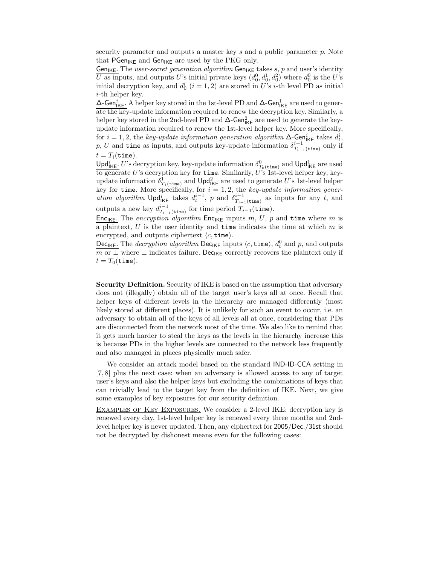security parameter and outputs a master key  $s$  and a public parameter  $p$ . Note that  $PGen_{IKE}$  and  $Gen_{IKE}$  are used by the PKG only.

Gen<sub>IKE</sub>. The *user-secret generation algorithm* Gen<sub>IKE</sub> takes s, p and user's identity U as inputs, and outputs U's initial private keys  $(d_0^0, d_0^1, d_0^2)$  where  $d_0^0$  is the U's initial decryption key, and  $d_0^i$   $(i = 1, 2)$  are stored in U's i-th level PD as initial i-th helper key.

 $\Delta$ -Gen<sub>*IKE*</sub>. A helper key stored in the 1st-level PD and  $\Delta$ -Gen<sub>*IKE*</sub> are used to generate the key-update information required to renew the decryption key. Similarly, a helper key stored in the 2nd-level PD and  $\Delta$ -Gen<sup>2</sup><sub>KE</sub> are used to generate the keyupdate information required to renew the 1st-level helper key. More specifically, for  $i = 1, 2$ , the *key-update information generation algorithm*  $\Delta$ -Gen<sup>i</sup><sub>KE</sub> takes  $d_t^i$ , p, U and time as inputs, and outputs key-update information  $\delta_{T_{i-1}(\text{time})}^{i-1}$  only if  $t = T_i(\mathtt{time}).$ 

 $\bigcup_{\text{pd}_{\text{IKE}}^i} U$ 's decryption key, key-update information  $\delta^0_{T_0(\text{time})}$  and  $\bigcup_{\text{HKE}} d_{\text{IKE}}^1$  are used to generate U's decryption key for time. Similarlly, U's 1st-level helper key, key-<br>undate information  $\delta^1$  and  $\text{Ind}^2$  are used to generate U's 1st-level helper update information  $\delta^1_{T_1(\text{time})}$  and  $\text{Upd}_{\text{IKE}}^2$  are used to generate U's 1st-level helper key for **time**. More specifically, for  $i = 1, 2$ , the *key-update information generation algorithm* Upd<sup>*i*</sup><sub>IKE</sub> takes  $d_t^{i-1}$ , *p* and  $\delta_{T_{i-1}(\text{time})}^{i-1}$  as inputs for any *t*, and outputs a new key  $d_{i-1}^{i-1}(\text{time})$  for time period  $T_{i-1}(\text{time})$ .<br>For the energy close that  $\text{Fro}$  in puts  $m, I$ ,  $n$ 

Enc<sub>IKE</sub>. The *encryption algorithm* Enc<sub>IKE</sub> inputs m, U, p and time where m is a plaintext,  $U$  is the user identity and time indicates the time at which  $m$  is encrypted, and outputs ciphertext  $\langle c, \text{time} \rangle$ .

**Dec<sub>IKE</sub>**. The *decryption algorithm*  $\text{Dec}_{\mathsf{IKE}}$  inputs  $\langle c, \text{time} \rangle$ ,  $d_{\ell}^0$  and p, and outputs  $m$  or  $\perp$  where  $\perp$  indicates failure. Decure correctly recovers the plaintext only if m or  $\perp$  where  $\perp$  indicates failure. Dec<sub>IKE</sub> correctly recovers the plaintext only if  $t = T_0(\texttt{time}).$ 

**Security Definition.** Security of IKE is based on the assumption that adversary does not (illegally) obtain all of the target user's keys all at once. Recall that helper keys of different levels in the hierarchy are managed differently (most likely stored at different places). It is unlikely for such an event to occur, i.e. an adversary to obtain all of the keys of all levels all at once, considering that PDs are disconnected from the network most of the time. We also like to remind that it gets much harder to steal the keys as the levels in the hierarchy increase this is because PDs in the higher levels are connected to the network less frequently and also managed in places physically much safer.

We consider an attack model based on the standard IND-ID-CCA setting in [7, 8] plus the next case: when an adversary is allowed access to any of target user's keys and also the helper keys but excluding the combinations of keys that can trivially lead to the target key from the definition of IKE. Next, we give some examples of key exposures for our security definition.

Examples of Key Exposures. We consider a 2-level IKE: decryption key is renewed every day, 1st-level helper key is renewed every three months and 2ndlevel helper key is never updated. Then, any ciphertext for 2005/Dec./31st should not be decrypted by dishonest means even for the following cases: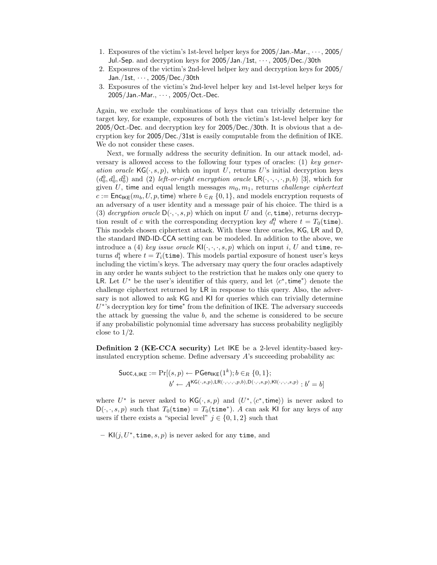- 1. Exposures of the victim's 1st-level helper keys for 2005/Jan.-Mar., ··· , 2005/ Jul.-Sep. and decryption keys for  $2005/Jan./1st, \dots$ ,  $2005/Dec./30th$
- 2. Exposures of the victim's 2nd-level helper key and decryption keys for 2005/ Jan./1st, ··· , 2005/Dec./30th
- 3. Exposures of the victim's 2nd-level helper key and 1st-level helper keys for 2005/Jan.-Mar., ··· , 2005/Oct.-Dec.

Again, we exclude the combinations of keys that can trivially determine the target key, for example, exposures of both the victim's 1st-level helper key for 2005/Oct.-Dec. and decryption key for 2005/Dec./30th. It is obvious that a decryption key for 2005/Dec./31st is easily computable from the definition of IKE. We do not consider these cases.

Next, we formally address the security definition. In our attack model, adversary is allowed access to the following four types of oracles: (1) *key generation oracle*  $\mathsf{KG}(\cdot, s, p)$ , which on input U, returns U's initial decryption keys  $(d_0^0, d_0^1, d_0^2)$  and (2) *left-or-right encryption oracle*  $LR(\cdot, \cdot, \cdot, \cdot, p, b)$  [3], which for given  $U$ , time and equal length messages  $m_0, m_1$ , returns *challenge ciphertext*  $c := \text{Enc}_{\text{IKE}}(m_b, U, p, \text{time})$  where  $b \in_R \{0, 1\}$ , and models encryption requests of an adversary of a user identity and a message pair of his choice. The third is a (3) *decryption oracle*  $D(\cdot, \cdot, s, p)$  which on input U and  $\langle c, \text{time} \rangle$ , returns decryption result of c with the corresponding decryption key  $d_t^0$  where  $t = T_0(\text{time})$ .<br>This models chosen ciphertext attack With these three oracles KG IR and D This models chosen ciphertext attack. With these three oracles, KG, LR and D, the standard IND-ID-CCA setting can be modeled. In addition to the above, we introduce a (4) *key issue oracle*  $\mathsf{KI}(\cdot,\cdot,\cdot,s,p)$  which on input i, U and time, returns  $d_t^i$  where  $t = T_i(\text{time})$ . This models partial exposure of honest user's keys including the victim's keys. The adversary may query the four oracles adaptively in any order he wants subject to the restriction that he makes only one query to LR. Let  $U^*$  be the user's identifier of this query, and let  $\langle c^*, \mathsf{time}^* \rangle$  denote the challenge ciphertext returned by LR in response to this query. Also, the adversary is not allowed to ask KG and KI for queries which can trivially determine  $U^*$ 's decryption key for time<sup>∗</sup> from the definition of IKE. The adversary succeeds the attack by guessing the value  $b$ , and the scheme is considered to be secure if any probabilistic polynomial time adversary has success probability negligibly close to  $1/2$ .

**Definition 2 (KE-CCA security)** Let IKE be a 2-level identity-based keyinsulated encryption scheme. Define adversary  $A$ 's succeeding probability as:

$$
\mathsf{Succ}_{A,\mathsf{IKE}} := \Pr[(s,p) \leftarrow \mathsf{PGen}_{\mathsf{IKE}}(1^k); b \in_R \{0,1\};
$$
  

$$
b' \leftarrow A^{\mathsf{KG}(\cdot,s,p), \mathsf{LR}(\cdot,\cdot,\cdot,\cdot,p,b), \mathsf{D}(\cdot,\cdot,s,p), \mathsf{KI}(\cdot,\cdot,\cdot,s,p)}: b' = b]
$$

where  $U^*$  is never asked to  $\mathsf{KG}(\cdot, s, p)$  and  $(U^*, \langle c^*, \mathsf{time} \rangle)$  is never asked to  $D(\cdot, \cdot, s, p)$  such that  $T_0(\text{time}) = T_0(\text{time}^*)$ . A can ask KI for any keys of any users if there exists a "special level"  $j \in \{0, 1, 2\}$  such that

**–** KI(j, U<sup>∗</sup>, time, s, p) is never asked for any time, and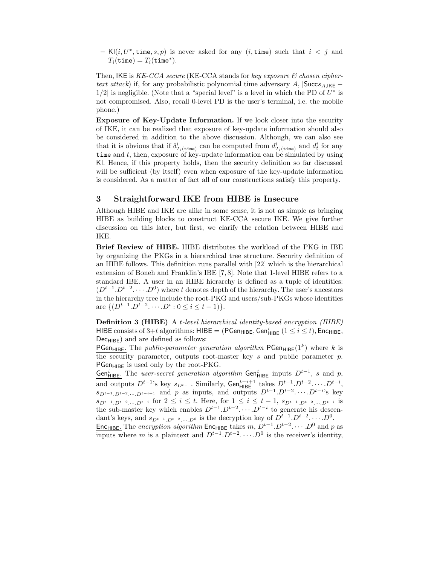**−** KI( $i, U^*$ , time,  $s, p$ ) is never asked for any ( $i$ , time) such that  $i < j$  and  $T_i(\texttt{time}) = T_i(\texttt{time}^*)$ .

Then, IKE is *KE-CCA secure* (KE-CCA stands for *key exposure & chosen ciphertext attack*) if, for any probabilistic polynomial time adversary A,  $\vert$ Succs<sub>A,IKE</sub> −  $1/2$  is negligible. (Note that a "special level" is a level in which the PD of  $U^*$  is not compromised. Also, recall 0-level PD is the user's terminal, i.e. the mobile phone.)

**Exposure of Key-Update Information.** If we look closer into the security of IKE, it can be realized that exposure of key-update information should also be considered in addition to the above discussion. Although, we can also see that it is obvious that if  $\delta^i_{T_i(\text{time})}$  can be computed from  $d^i_{T_i(\text{time})}$  and  $d^i_t$  for any time and  $t$ , then, exposure of key-update information can be simulated by using KI. Hence, if this property holds, then the security definition so far discussed will be sufficient (by itself) even when exposure of the key-update information is considered. As a matter of fact all of our constructions satisfy this property.

## **3 Straightforward IKE from HIBE is Insecure**

Although HIBE and IKE are alike in some sense, it is not as simple as bringing HIBE as building blocks to construct KE-CCA secure IKE. We give further discussion on this later, but first, we clarify the relation between HIBE and IKE.

**Brief Review of HIBE.** HIBE distributes the workload of the PKG in IBE by organizing the PKGs in a hierarchical tree structure. Security definition of an HIBE follows. This definition runs parallel with [22] which is the hierarchical extension of Boneh and Franklin's IBE [7, 8]. Note that 1-level HIBE refers to a standard IBE. A user in an HIBE hierarchy is defined as a tuple of identities:  $(D<sup>t-1</sup>.D<sup>t-2</sup>. \cdots D<sup>0</sup>)$  where t denotes depth of the hierarchy. The user's ancestors in the hierarchy tree include the root-PKG and users/sub-PKGs whose identities are  ${(D<sup>t-1</sup>.D<sup>t-2</sup>.···.D<sup>i</sup> : 0 ≤ i ≤ t - 1)}.$ 

**Definition 3 (HIBE)** A t*-level hierarchical identity-based encryption (HIBE)* HIBE consists of  $3+t$  algorithms: HIBE = (PGen<sub>HIBE</sub>, Gen $_{\text{HIBE}}^i$  ( $1 \leq i \leq t$ ), Enc<sub>HIBE</sub>,  $Dec_{HIBE}$ ) and are defined as follows:

**PGen<sub>HIBE</sub>**. The *public-parameter generation algorithm* **PGen**<sub>HIBE</sub> $(1^k)$  where k is the security parameter, outputs root-master key  $s$  and public parameter  $p$ . PGen<sub>HIBE</sub> is used only by the root-PKG.

 $Gen<sub>HIBE</sub><sup>i</sup>$ . The *user-secret generation algorithm* Gen<sup>t</sup><sub>HIBE</sub> inputs  $D^{t-1}$ , s and p, and outputs  $D^{t-1}$ 's key  $s_{D^{t-1}}$ . Similarly, Gen<sup> $t-i+1$ </sup> takes  $D^{t-1} \cdot D^{t-2} \cdot \cdots \cdot D^{t-i}$ ,  $s_{D^{t-1}.D^{t-2}.\dots D^{t-i+1}}$  and p as inputs, and outputs  $D^{t-1}.D^{t-2}.\dots D^{t-i}$ 's key  $s_{D^{t-1},D^{t-2},\dots,D^{t-i}}$  for  $2 \leq i \leq t$ . Here, for  $1 \leq i \leq t-1$ ,  $s_{D^{t-1},D^{t-2},\dots,D^{t-i}}$  is the sub-master key which enables  $D^{t-1}.D^{t-2}. \cdots .D^{t-i}$  to generate his descendant's keys, and  $s_{D^{t-1}.D^{t-2}.\dots D^0}$  is the decryption key of  $D^{t-1}.D^{t-2}.\dots D^0$ .

Enc<sub>HIBE</sub>. The *encryption algorithm* Enc<sub>HIBE</sub> takes  $m, D^{t-1}.D^{t-2}. \cdots. D^0$  and p as inputs where m is a plaintext and  $D^{t-1} \cdot D^{t-2} \cdot \cdots \cdot D^0$  is the receiver's identity.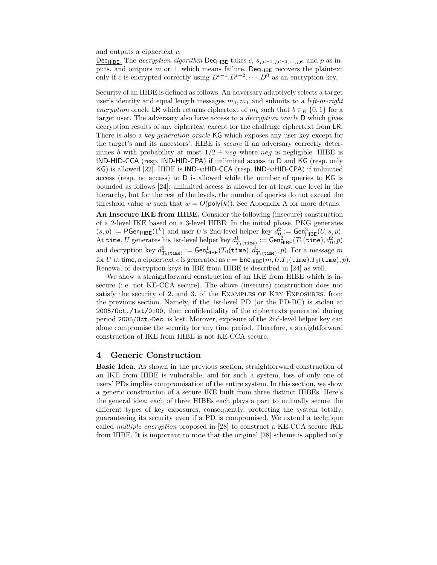and outputs a ciphertext c.

Dec<sub>HIBE</sub>. The *decryption algorithm* Dec<sub>HIBE</sub> takes c,  $s_{D^{t-1},D^{t-2},\dots,D^0}$  and p as inputs, and outputs m or  $\perp$  which means failure. Dec<sub>HIBE</sub> recovers the plaintext only if c is encrypted correctly using  $D^{t-1}.D^{t-2}. \cdots .D^0$  as an encryption key.

Security of an HIBE is defined as follows. An adversary adaptively selects a target user's identity and equal length messages  $m_0, m_1$  and submits to a *left-or-right encryption* oracle LR which returns ciphertext of  $m_b$  such that  $b \in_R \{0, 1\}$  for a target user. The adversary also have access to a *decryption oracle* D which gives decryption results of any ciphertext except for the challenge ciphertext from LR. There is also a *key generation oracle* KG which exposes any user key except for the target's and its ancestors'. HIBE is *secure* if an adversary correctly determines b with probability at most  $1/2 + neq$  where neg is negligible. HIBE is IND-HID-CCA (resp. IND-HID-CPA) if unlimited access to D and KG (resp. only KG) is allowed [22]. HIBE is  $IND-wHID-CCA$  (resp. IND-wHID-CPA) if unlimited access (resp. no access) to D is allowed while the number of queries to KG is bounded as follows [24]: unlimited access is allowed for at least one level in the hierarchy, but for the rest of the levels, the number of queries do not exceed the threshold value w such that  $w = O(poly(k))$ . See Appendix A for more details.

**An Insecure IKE from HIBE.** Consider the following (insecure) construction of a 2-level IKE based on a 3-level HIBE: In the initial phase, PKG generates  $(s, p) := \mathsf{PGen}_{\mathsf{HIBE}}(1^k)$  and user U's 2nd-level helper key  $d_0^2 := \mathsf{Gen}_{\mathsf{HIBE}}^3(U, s, p)$ . At time, U generates his 1st-level helper key  $d_{T_1(\text{time})}^1 := \text{Gen}_{\text{HIEE}}^2(T_1(\text{time}), d_0^2, p)$ and decryption key  $d_{T_0(\text{time})}^0 := \text{Gen}_{\text{HIBE}}^1(T_0(\text{time}), d_{T_1(\text{time})}^1, p)$ . For a message m<br>for L st time, a sinkertary ais concreted as  $e = \text{Enc}(\text{max } U, T_1(\text{time}) \cdot T_1(\text{time}))$ for U at time, a ciphertext c is generated as  $c = \text{Enc}_{\text{HIBE}}(m, U.T_1(\text{time}).T_0(\text{time}), p)$ . Renewal of decryption keys in IBE from HIBE is described in [24] as well.

We show a straightforward construction of an IKE from HIBE which is insecure (i.e. not KE-CCA secure). The above (insecure) construction does not satisfy the security of 2. and 3. of the EXAMPLES OF KEY EXPOSURES. from the previous section. Namely, if the 1st-level PD (or the PD-BC) is stolen at 2005/Oct./1st/0:00, then confidentiality of the ciphertexts generated during period 2005/Oct.-Dec. is lost. Morover, exposure of the 2nd-level helper key can alone compromise the security for any time period. Therefore, a straightforward construction of IKE from HIBE is not KE-CCA secure.

## **4 Generic Construction**

**Basic Idea.** As shown in the previous section, straightforward construction of an IKE from HIBE is vulnerable, and for such a system, loss of only one of users' PDs implies compromisation of the entire system. In this section, we show a generic construction of a secure IKE built from three distinct HIBEs. Here's the general idea: each of three HIBEs each plays a part to mutually secure the different types of key exposures, consequently, protecting the system totally, guaranteeing its security even if a PD is compromised. We extend a technique called *multiple encryption* proposed in [28] to construct a KE-CCA secure IKE from HIBE. It is important to note that the original [28] scheme is applied only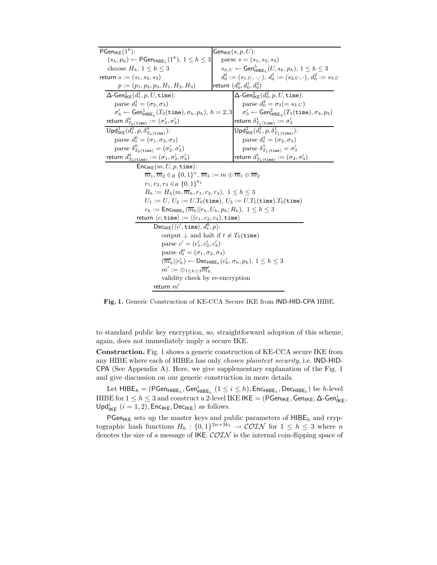| $\mathsf{PGen}_{\mathsf{IKE}}(1^k)$ :                                                                                                             | $Gen_{IKE}(s, p, U)$ :      |                                                                                          |
|---------------------------------------------------------------------------------------------------------------------------------------------------|-----------------------------|------------------------------------------------------------------------------------------|
| $(s_h, p_h) \leftarrow \mathsf{PGen}_{\mathsf{HIBE}_h}(1^k), 1 \leq h \leq 3$                                                                     | parse $s = (s_1, s_2, s_3)$ |                                                                                          |
| choose $H_h$ , $1 \leq h \leq 3$                                                                                                                  |                             | $s_{h,U} \leftarrow$ Gen $_{\text{HIBE}_h}^h(U, s_h, p_h), 1 \leq h \leq 3$              |
| return $s := (s_1, s_2, s_3)$                                                                                                                     |                             | $d_0^0 := (s_{1,U}, \cdot, \cdot), d_0^1 := (s_{2,U}, \cdot), d_0^2 := s_{3,U}$          |
| return $(d_0^0, d_0^1, d_0^2)$<br>$p := (p_1, p_2, p_3, H_1, H_2, H_3)$                                                                           |                             |                                                                                          |
| $\Delta$ -Gen <sub>IKF</sub> $(d_t^1, p, U, \text{time})$ :                                                                                       |                             | $\overline{\Delta \text{-Gen}^2_{\text{IKE}}}(d_0^2, p, U, \texttt{time})$ :             |
| parse $d_t^1 = (\sigma_2, \sigma_3)$                                                                                                              |                             | parse $d_0^2 = \sigma_3 (= s_{3,U})$                                                     |
| $\sigma'_h \leftarrow$ Gen <sub>HIBE<sub>h</sub></sub> (T <sub>0</sub> (time), $\sigma_h, p_h$ ), $h = 2, 3$                                      |                             | $\sigma_3' \leftarrow \mathsf{Gen}_\mathsf{HIBE_3}^2(T_1(\mathtt{time}), \sigma_3, p_3)$ |
|                                                                                                                                                   |                             | return $\delta_{T_1(\text{time})}^1 := \sigma_3'$                                        |
| return $\delta_{T_0(\text{time})}^0 := (\sigma'_2, \sigma'_3)$<br>$\overline{\text{Upd}_{\text{IKE}}^1(d_t^0, p, \delta_{T_0(\text{time})}^0)}$ : |                             | $\overline{\mathsf{Upd}_{\mathsf{IKE}}^2(d_t^1, p, \delta_{T_1(\mathtt{time})}^1)}$ :    |
| parse $d_t^0 = (\sigma_1, \sigma_2, \sigma_3)$                                                                                                    |                             | parse $d_t^1 = (\sigma_2, \sigma_3)$                                                     |
| parse $\delta_{T_0(\text{time})}^0 = (\sigma'_2, \sigma'_3)$                                                                                      |                             | parse $\delta^1_{T_1(\text{time})} = \sigma'_3$                                          |
| return $d_{T_0(\text{time})}^0 := (\sigma_1, \sigma_2', \sigma_3')$                                                                               |                             | return $d_{T_1(\text{time})}^1 := (\sigma_2, \sigma_3')$                                 |
| $Enc_{IKE}(m, U, p, \text{time})$ :                                                                                                               |                             |                                                                                          |
| $\overline{m}_1, \overline{m}_2 \in_R \{0,1\}^n, \overline{m}_3 := m \oplus \overline{m}_1 \oplus \overline{m}_2$                                 |                             |                                                                                          |
| $r_1, r_2, r_3 \in_R \{0,1\}^{k_1}$                                                                                                               |                             |                                                                                          |
| $R_h := H_h(m, \overline{m}_h, r_1, r_2, r_3), 1 \leq h \leq 3$                                                                                   |                             |                                                                                          |
| $U_1 := U, U_2 := U.T_0$ (time), $U_3 := U.T_1$ (time). $T_0$ (time)                                                                              |                             |                                                                                          |
| $c_h := \mathsf{Enc}_{\mathsf{HIBE}_h}(\overline{m}_h    r_h, U_h, p_h; R_h), 1 \leq h < 3$                                                       |                             |                                                                                          |
| $\mathsf{return}\ \langle c,\mathtt{time}\rangle := \langle (c_1,\underline{c_2},c_3),\mathtt{time}\rangle$                                       |                             |                                                                                          |
| $Dec_{IKE}(\langle c', \mathtt{time} \rangle, d_t^0, p)$ :                                                                                        |                             |                                                                                          |
| output $\perp$ and halt if $t \neq T_0$ (time)                                                                                                    |                             |                                                                                          |
| parse $c' = (c'_1, c'_2, c'_3)$                                                                                                                   |                             |                                                                                          |
| parse $d_t^0 = (\sigma_1, \sigma_2, \sigma_3)$                                                                                                    |                             |                                                                                          |
| $(\overline{m}_h'  r_h') \leftarrow \mathsf{Dec}_{\mathsf{HIBE}_h}(c_h', \sigma_h, p_h), 1 \leq h \leq 3$                                         |                             |                                                                                          |
| $m' := \bigoplus_{1 \leq h \leq 3} \overline{m}'_h$                                                                                               |                             |                                                                                          |
| validity check by re-encryption                                                                                                                   |                             |                                                                                          |
| return $m'$                                                                                                                                       |                             |                                                                                          |

**Fig. 1.** Generic Construction of KE-CCA Secure IKE from IND-HID-CPA HIBE.

to standard public key encryption, so, straightforward adoption of this scheme, again, does not immediately imply a secure IKE.

**Construction.** Fig. 1 shows a generic construction of KE-CCA secure IKE from any HIBE where each of HIBEs has only *chosen plaintext security*, i.e. IND-HID-CPA (See Appendix A). Here, we give supplementary explanation of the Fig. 1 and give discussion on our generic construction in more details.

Let  $HIBE_h = (PGen_{HIBE_h}, Gen_{HIBE_h}^i (1 \le i \le h), Enc_{HIBE_h}, Dec_{HIBE_h})$  be *h*-level HIBE for  $1 \leq h \leq 3$  and construct a 2-level IKE  $\mathsf{IKE} = (\mathsf{PGen}_{\mathsf{IKE}}, \mathsf{Gen}_{\mathsf{IKE}}, \Delta\text{-Gen}_{\mathsf{IKE}}^i)$  $\textsf{Upd}_{\mathsf{IKE}}^i$   $(i = 1, 2)$ ,  $\textsf{Enc}_{\mathsf{IKE}}, \textsf{Dec}_{\mathsf{IKE}})$  as follows.

 $PGen_{IKE}$  sets up the master keys and public parameters of  $HIBE_h$  and cryptographic hash functions  $H_h: \{0,1\}^{2n+3k_1} \to \mathcal{CONT}$  for  $1 \leq h \leq 3$  where n denotes the size of a message of IKE.  $\mathcal{COTN}$  is the internal coin-flipping space of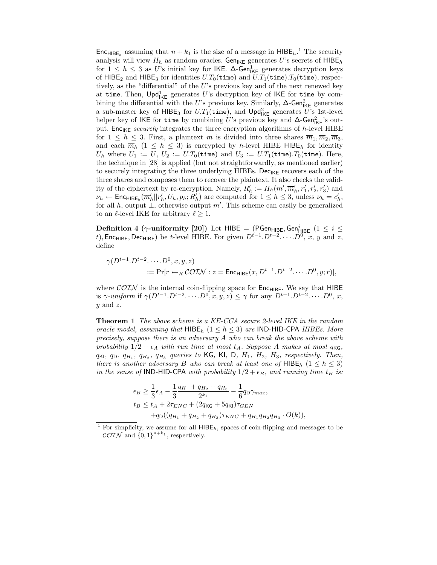Enc<sub>HIBE<sub>h</sub></sub> assuming that  $n + k_1$  is the size of a message in  $HIBE_h$ <sup>1</sup>. The security analysis will view  $H_h$  as random oracles. Gen<sub>IKE</sub> generates U's secrets of  $HIBE_h$ for  $1 \leq h \leq 3$  as U's initial key for IKE.  $\Delta$ -Gen<sup>1</sup><sub>IKE</sub> generates decryption keys of HIBE<sub>2</sub> and HIBE<sub>3</sub> for identities  $U.T_0$ (time) and  $U.T_1$ (time).  $T_0$ (time), respectively, as the "differential" of the U's previous key and of the next renewed key at time. Then,  $\bigcup_{k\in\mathbb{N}} \mathcal{G}_{\text{R}}^{d_{\text{I}}}$  generates U's decryption key of IKE for time by com-<br>bining the differential with the U's previous key. Similarly,  $\Lambda$ -Gen<sup>2</sup> generates bining the differential with the U's previous key. Similarly,  $\Delta$ -Gen<sub>IKE</sub> generates a sub-master key of HIBE<sub>3</sub> for  $UT_1(\text{time})$ , and  $\text{Upd}_{\text{IKE}}^2$  generates  $\overline{U}$ 's 1st-level<br>helper key of IKE for time by combining  $U$ 's previous key and  $\Delta \text{-Gen}^2$  's outhelper key of IKE for time by combining U's previous key and  $\Delta$ -Gen<sup>2</sup><sub>IKE</sub>'s out-<br>put. Fncues *securely* integrates the three encryption algorithms of h-level HIRE put. Enc<sub>IKE</sub> *securely* integrates the three encryption algorithms of h-level HIBE for  $1 \leq h \leq 3$ . First, a plaintext m is divided into three shares  $\overline{m}_1, \overline{m}_2, \overline{m}_3$ , and each  $\overline{m}_h$  (1  $\leq h \leq 3$ ) is encrypted by h-level HIBE HIBE<sub>h</sub> for identity  $U_h$  where  $U_1 := U, U_2 := U.T_0$ (time) and  $U_3 := U.T_1$ (time).  $T_0$ (time). Here, the technique in [28] is applied (but not straightforwardly, as mentioned earlier) to securely integrating the three underlying HIBEs. Dec<sub>IKE</sub> recovers each of the three shares and composes them to recover the plaintext. It also checks the validity of the ciphertext by re-encryption. Namely,  $R'_{h} := H_h(m', \overline{m}'_h, r'_1, r'_2, r'_3)$  and  $\nu_h \leftarrow \textsf{Enc}_{\textsf{HIBE}_h}(\overline{m}_h' || r_h', U_h, p_h; R_h')$  are computed for  $1 \leq h \leq 3$ , unless  $\nu_h = c_h',$ for all h, output  $\perp$ , otherwise output m'. This scheme can easily be generalized to an  $\ell$ -level IKE for arbitrary  $\ell \geq 1$ .

**Definition 4 (** $\gamma$ **-uniformity [20])** Let HIBE = (PGen<sub>HIBE</sub>, Gen $_{\text{HIBE}}^{i}$  (1  $\leq i \leq$ t), Enc<sub>HIBE</sub>, Dec<sub>HIBE</sub>) be t-level HIBE. For given  $D^{t-1}.D^{t-2}...D^{0}$ , x, y and z, define

$$
\begin{aligned} \gamma(D^{t-1}.D^{t-2}. \cdots .D^0, x, y, z) \\ := & \Pr[r \leftarrow_R \mathcal{COLN}: z = \mathsf{Enc}_{\mathsf{HIBE}}(x, D^{t-1}.D^{t-2}. \cdots .D^0, y; r)], \end{aligned}
$$

where  $\mathcal{COLN}$  is the internal coin-flipping space for  $\mathsf{Enc}_{\mathsf{HIBF}}$ . We say that HIBE is  $\gamma$ -uniform if  $\gamma(D^{t-1}.D^{t-2}. \cdots D^0, x, y, z) \leq \gamma$  for any  $D^{t-1}.D^{t-2}. \cdots D^0, x,$  $y$  and  $z$ .

**Theorem 1** *The above scheme is a KE-CCA secure 2-level IKE in the random oracle model, assuming that*  $HIBE_h$  ( $1 \leq h \leq 3$ ) *are* **IND-HID-CPA** *HIBEs. More precisely, suppose there is an adversary* A *who can break the above scheme with* probability  $1/2 + \epsilon_A$  *with run time at most*  $t_A$ *. Suppose* A *makes at most*  $q_{\text{KG}}$ *,*  $q_{\text{K1}}$ *,*  $q_{\text{D}}$ *,*  $q_{H_1}$ *,*  $q_{H_2}$ *,*  $q_{H_3}$  *queries to* KG, KI, D,  $H_1$ ,  $H_2$ ,  $H_3$ *, respectively. Then, there is another adversary* B *who can break at least one of*  $HIBE_h$   $(1 \leq h \leq 3)$ *in the sense of* **IND-HID-CPA** *with probability*  $1/2 + \epsilon_B$ *, and running time*  $t_B$  *is:* 

$$
\epsilon_B \ge \frac{1}{3}\epsilon_A - \frac{1}{3}\frac{q_{H_1} + q_{H_2} + q_{H_3}}{2^{k_1}} - \frac{1}{6}q_{\text{D}}\gamma_{max},
$$
  
\n
$$
t_B \le t_A + 2\tau_{ENC} + (2q_{\text{KG}} + 5q_{\text{KI}})\tau_{GEN}
$$
  
\n
$$
+q_{\text{D}}((q_{H_1} + q_{H_2} + q_{H_3})\tau_{ENC} + q_{H_1}q_{H_2}q_{H_3} \cdot O(k)),
$$

For simplicity, we assume for all  $HIBE<sub>h</sub>$ , spaces of coin-flipping and messages to be  $\mathcal{COIN}$  and  $\{0, 1\}^{n+k_1}$ , respectively.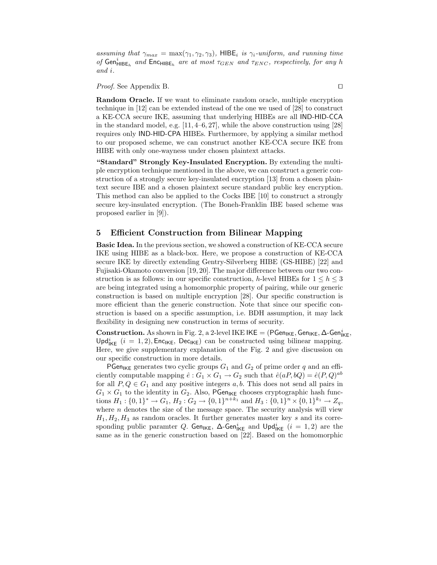*assuming that*  $\gamma_{max} = \max(\gamma_1, \gamma_2, \gamma_3)$ , HIBE<sub>i</sub> *is*  $\gamma_i$ *-uniform, and running time of* Gen*<sup>i</sup>* HIBE<sup>h</sup> *and* EncHIBE<sup>h</sup> *are at most* <sup>τ</sup>GEN *and* <sup>τ</sup>ENC *, respectively, for any* <sup>h</sup> *and* i*.*

*Proof.* See Appendix B.

**Random Oracle.** If we want to eliminate random oracle, multiple encryption technique in [12] can be extended instead of the one we used of [28] to construct a KE-CCA secure IKE, assuming that underlying HIBEs are all IND-HID-CCA in the standard model, e.g. [11, 4–6, 27], while the above construction using [28] requires only IND-HID-CPA HIBEs. Furthermore, by applying a similar method to our proposed scheme, we can construct another KE-CCA secure IKE from HIBE with only one-wayness under chosen plaintext attacks.

**"Standard" Strongly Key-Insulated Encryption.** By extending the multiple encryption technique mentioned in the above, we can construct a generic construction of a strongly secure key-insulated encryption [13] from a chosen plaintext secure IBE and a chosen plaintext secure standard public key encryption. This method can also be applied to the Cocks IBE [10] to construct a strongly secure key-insulated encryption. (The Boneh-Franklin IBE based scheme was proposed earlier in [9]).

## **5 Efficient Construction from Bilinear Mapping**

**Basic Idea.** In the previous section, we showed a construction of KE-CCA secure IKE using HIBE as a black-box. Here, we propose a construction of KE-CCA secure IKE by directly extending Gentry-Silverberg HIBE (GS-HIBE) [22] and Fujisaki-Okamoto conversion [19, 20]. The major difference between our two construction is as follows: in our specific construction, h-level HIBEs for  $1 \leq h \leq 3$ are being integrated using a homomorphic property of pairing, while our generic construction is based on multiple encryption [28]. Our specific construction is more efficient than the generic construction. Note that since our specific construction is based on a specific assumption, i.e. BDH assumption, it may lack flexibility in designing new construction in terms of security.

**Construction.** As shown in Fig. 2, a 2-level IKE  $\text{IKE} = (\text{PGen}_{\text{IKE}}, \text{Gen}_{\text{IKE}}, \Delta \text{-Gen}_{\text{IKE}}^i)$ Upd<sub>IKE</sub>  $(i = 1, 2)$ , Enc<sub>IKE</sub>, Dec<sub>IKE</sub>) can be constructed using bilinear mapping. Here, we give supplementary explanation of the Fig. 2 and give discussion on our specific construction in more details.

**PGen**<sub>IKE</sub> generates two cyclic groups  $G_1$  and  $G_2$  of prime order q and an efficiently computable mapping  $\hat{e}: G_1 \times G_1 \to G_2$  such that  $\hat{e}(aP, bQ) = \hat{e}(P, Q)^{ab}$ for all  $P, Q \in G_1$  and any positive integers a, b. This does not send all pairs in  $G_1 \times G_1$  to the identity in  $G_2$ . Also, PGen<sub>IKE</sub> chooses cryptographic hash functions  $H_1: \{0,1\}^* \to G_1, H_2: G_2 \to \{0,1\}^{n+k_1}$  and  $H_3: \{0,1\}^n \times \{0,1\}^{k_1} \to Z_q$ , where  $n$  denotes the size of the message space. The security analysis will view  $H_1, H_2, H_3$  as random oracles. It further generates master key  $s$  and its corresponding public paramter Q. Gen<sub>IKE</sub>,  $\Delta$ -Gen<sup>i</sup><sub>KE</sub> and Upd<sub>iKE</sub>  $(i = 1, 2)$  are the same as in the generic construction based on [22]. Based on the homomorphic

 $\Box$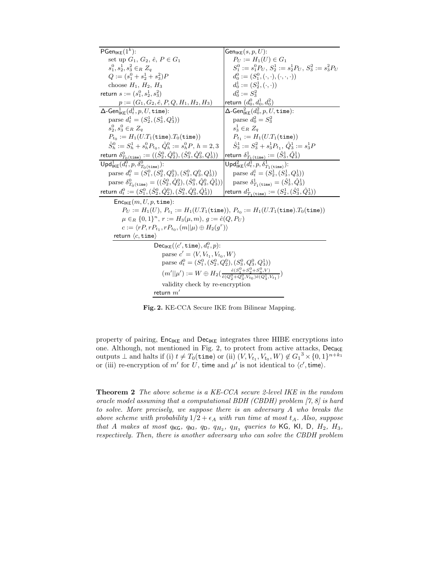| PGen <sub>IKE</sub> $(1^k)$ :                                                                                       | $\mathsf{Gen}_{\mathsf{IKE}}(s,p,U)$ :                                     |  |
|---------------------------------------------------------------------------------------------------------------------|----------------------------------------------------------------------------|--|
| set up $G_1, G_2, \hat{e}, P \in G_1$                                                                               | $P_U := H_1(U) \in G_1$                                                    |  |
| $s_1^0, s_2^1, s_3^2 \in_R Z_a$                                                                                     | $S_1^0 := s_1^0 P_U, S_2^1 := s_2^1 P_U, S_3^2 := s_3^2 P_U$               |  |
| $Q := (s_1^0 + s_2^1 + s_3^2)P$                                                                                     | $d_0^0 := (S_1^0, (\cdot, \cdot), (\cdot, \cdot, \cdot))$                  |  |
| choose $H_1$ , $H_2$ , $H_3$                                                                                        | $d_0^1 := (S_2^1, (\cdot, \cdot))$                                         |  |
| return $s := (s_1^0, s_2^1, s_3^2)$                                                                                 | $d_0^2 := S_3^2$                                                           |  |
| $p := (G_1, G_2, \hat{e}, P, Q, H_1, H_2, H_3)$<br>$\Delta\text{-Gen}_{\text{IKE}}^1(d_t^1, p, U, \text{time}):$    | return $(d_0^0, d_0^1, d_0^2)$                                             |  |
|                                                                                                                     | $\Delta$ -Gen $_{\rm IKF}^2(d_0^2, p, U, \texttt{time})$ :                 |  |
| parse $d_t^1 = (S_2^1, (S_3^1, Q_3^1))$                                                                             | parse $d_0^2 = S_3^2$                                                      |  |
| $s_2^0, s_3^0 \in_R Z_a$                                                                                            | $s_2^1 \in_R Z_a$                                                          |  |
| $P_{t_0} := H_1(U.T_1(\texttt{time}).T_0(\texttt{time}))$                                                           | $P_{t_1} := H_1(U.T_1(\text{time}))$                                       |  |
| $\hat{S}_h^0 := S_h^1 + s_h^0 P_{t_0}, \hat{Q}_h^0 := s_h^0 P, h = 2, 3$                                            | $\hat{S}_3^1 := S_3^2 + s_3^1 P_{t_1}, \hat{Q}_3^1 := s_3^1 P$             |  |
| return $\delta_{T_0(\text{time})}^0 := ((\hat{S}_2^0, \hat{Q}_2^0), (\hat{S}_3^0, \hat{Q}_3^0, Q_3^1))$             | return $\delta^1_{T_1(\text{time})} := (\hat{S}_3^1, \hat{Q}_3^1)$         |  |
| $\mathsf{Upd}_{\mathsf{IKE}}^1(d_t^0, p, \delta_{T_0(\mathtt{time})}^0)$ :                                          | $\mathsf{Upd}_{\mathsf{IKE}}^2(d_t^1, p, \delta_{T_1(\mathtt{time})}^1)$ : |  |
| parse $d_t^0 = (S_1^0, (S_2^0, Q_2^0), (S_3^0, Q_3^0, Q_3^1))$                                                      | parse $d_t^1 = (S_2^1, (S_3^1, Q_3^1))$                                    |  |
| parse $\delta_{T_0(\text{time})}^0 = ((\hat{S}_2^0, \hat{Q}_2^0), (\hat{S}_3^0, \hat{Q}_3^0, \hat{Q}_3^1))$         | parse $\delta^1_{T_1(\text{time})} = (\hat{S}_3^1, \hat{Q}_3^1)$           |  |
| return $d_t^0 := (S_1^0, (\hat{S}_2^0, \hat{Q}_2^0), (\hat{S}_3^0, \hat{Q}_3^0, \hat{Q}_3^1))$                      | return $d_{T_1(\text{time})}^1 := (S_2^1, (\hat{S}_3^1, \hat{Q}_3^1))$     |  |
| $Enc_{IKE}(m, U, p, \text{time})$ :                                                                                 |                                                                            |  |
| $P_U := H_1(U), P_{t_1} := H_1(U.T_1(\text{time})), P_{t_0} := H_1(U.T_1(\text{time}).T_0(\text{time}))$            |                                                                            |  |
| $\mu \in_R \{0,1\}^n$ , $r := H_3(\mu,m)$ , $q := \hat{e}(Q, P_U)$                                                  |                                                                            |  |
| $c := \langle rP, rP_{t_1}, rP_{t_0}, (m  \mu) \oplus H_2(q^r) \rangle$                                             |                                                                            |  |
| return $\langle c, \texttt{time} \rangle$                                                                           |                                                                            |  |
| Dec <sub>IKE</sub> $(\langle c', \mathtt{time} \rangle, d_t^0, p)$ :                                                |                                                                            |  |
| parse $c' = \langle V, V_{t_1}, V_{t_0}, W \rangle$                                                                 |                                                                            |  |
| parse $d_t^0 = (S_1^0, (S_2^0, Q_2^0), (S_3^0, Q_3^0, Q_3^1))$                                                      |                                                                            |  |
| $(m'  \mu') := W \oplus H_2(\frac{\hat{e}(S_1^0+S_2^0+S_3^0,V)}{\hat{e}(O_2^0+O_2^0,V_{to})\hat{e}(O_2^1,V_{to})})$ |                                                                            |  |
| validity check by re-encryption                                                                                     |                                                                            |  |
| return $m'$                                                                                                         |                                                                            |  |

**Fig. 2.** KE-CCA Secure IKE from Bilinear Mapping.

property of pairing,  $Enc_{IKE}$  and  $Dec_{IKE}$  integrates three HIBE encryptions into one. Although, not mentioned in Fig. 2, to protect from active attacks,  $\mathsf{Dec}_{\mathsf{IKE}}$ outputs  $\perp$  and halts if (i)  $t \neq T_0$ (time) or (ii)  $(V, V_t, V_t_0, W) \notin G_1^3 \times \{0, 1\}^{n+k_1}$ <br>or (iii) re-encryption of m' for *U* time and u' is not identical to (c' time) or (iii) re-encryption of m' for U, time and  $\mu'$  is not identical to  $\langle c', \text{time} \rangle$ .

**Theorem 2** *The above scheme is a KE-CCA secure 2-level IKE in the random oracle model assuming that a computational BDH (CBDH) problem [7, 8] is hard to solve. More precisely, we suppose there is an adversary* A *who breaks the above scheme with probability*  $1/2 + \epsilon_A$  *with run time at most*  $t_A$ *. Also, suppose that* A makes at most  $q_{\text{KG}}$ ,  $q_{\text{KI}}$ ,  $q_{\text{D}}$ ,  $q_{H_2}$ ,  $q_{H_3}$  queries to KG, KI, D,  $H_2$ ,  $H_3$ , *respectively. Then, there is another adversary who can solve the CBDH problem*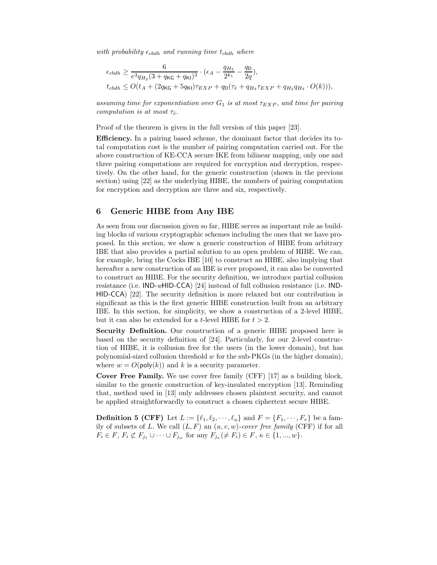*with probability*  $\epsilon_{\text{cbdh}}$  *and running time*  $t_{\text{cbdh}}$  *where* 

$$
\epsilon_{cbdh} \ge \frac{6}{e^3 q_{H_2} (3 + q_{\text{KG}} + q_{\text{Kl}})^3} \cdot (\epsilon_A - \frac{q_{H_3}}{2^{k_1}} - \frac{q_{\text{D}}}{2q}),
$$
  

$$
t_{cbdh} \le O(t_A + (2q_{\text{KG}} + 5q_{\text{Kl}}) \tau_{EXP} + q_{\text{D}} (\tau_{\hat{e}} + q_{H_3} \tau_{EXP} + q_{H_2} q_{H_3} \cdot O(k))),
$$

*assuming time for exponentiation over*  $G_1$  *is at most*  $\tau_{EXP}$ *, and time for pairing computation is at most*  $\tau_{\hat{e}}$ *.* 

Proof of the theorem is given in the full version of this paper [23].

**Efficiency.** In a pairing based scheme, the dominant factor that decides its total computation cost is the number of pairing computation carried out. For the above construction of KE-CCA secure IKE from bilinear mapping, only one and three pairing computations are required for encryption and decryption, respectively. On the other hand, for the generic construction (shown in the previous section) using [22] as the underlying HIBE, the numbers of pairing computation for encryption and decryption are three and six, respectively.

## **6 Generic HIBE from Any IBE**

As seen from our discussion given so far, HIBE serves as important role as building blocks of various cryptographic schemes including the ones that we have proposed. In this section, we show a generic construction of HIBE from arbitrary IBE that also provides a partial solution to an open problem of HIBE. We can, for example, bring the Cocks IBE [10] to construct an HIBE, also implying that hereafter a new construction of an IBE is ever proposed, it can also be converted to construct an HIBE. For the security definition, we introduce partial collusion resistance (i.e. IND-*w*HID-CCA) [24] instead of full collusion resistance (i.e. IND-HID-CCA) [22]. The security definition is more relaxed but our contribution is significant as this is the first generic HIBE construction built from an arbitrary IBE. In this section, for simplicity, we show a construction of a 2-level HIBE, but it can also be extended for a *t*-level HIBE for  $t > 2$ .

**Security Definition.** Our construction of a generic HIBE proposed here is based on the security definition of [24]. Particularly, for our 2-level construction of HIBE, it is collusion free for the users (in the lower domain), but has polynomial-sized collusion threshold  $w$  for the sub-PKGs (in the higher domain), where  $w = O(\text{poly}(k))$  and k is a security parameter.

**Cover Free Family.** We use cover free family (CFF) [17] as a building block, similar to the generic construction of key-insulated encryption [13]. Reminding that, method used in [13] only addresses chosen plaintext security, and cannot be applied straightforwardly to construct a chosen ciphertext secure HIBE.

**Definition 5 (CFF)** Let  $L := \{\ell_1, \ell_2, \cdots, \ell_u\}$  and  $F = \{F_1, \cdots, F_v\}$  be a family of subsets of L. We call  $(L, F)$  an  $(u, v, w)$ -cover free family (CFF) if for all  $F_i \in F, F_i \not\subset F_{j_1} \cup \cdots \cup F_{j_w}$  for any  $F_{j_{\kappa}} (\neq F_i) \in F, \, \kappa \in \{1, ..., w\}.$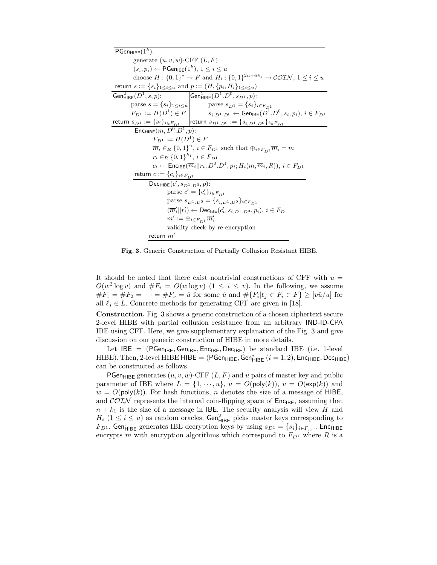$PGen_{HIBE}(1^k)$ : generate  $(u, v, w)$ -CFF  $(L, F)$  $(s_i, p_i) \leftarrow \mathsf{PGen}_{\mathsf{IBE}}(1^k), 1 \leq i \leq u$ choose  $H: \{0,1\}^* \to F$  and  $H_i: \{0,1\}^{2n+ik_1} \to \mathcal{CON}, 1 \leq i \leq u$ return  $s := \{s_i\}_{1 \le i \le u}$  and  $p := (H, \{p_i, H_i\}_{1 \le i \le u})$  $\overline{\mathsf{Gen}^2_{\mathsf{HIBE}}(D^1,s,p)}$ :  $\frac{2}{\mathsf{HIBE}}(D^1, s, p)$ : **Gen**<sup>1</sup>HIBE</sub> $(D^1.D^0, s_{D^1}, p)$ : parse  $s = \{s_i\}_{1 \le i \le u}$  parse  $s_{D1} = \{s_i\}_{i \in F_{D1}}$ <br>  $F_{D1} := H(D^1) \in F$   $s_{i,D^1,D^0} \leftarrow$  Gen<sub>IBE</sub> $(D^1)$ .  $\mathcal{S}_{i,D^1,D^0} \leftarrow \mathsf{Gen}_{\mathsf{IBE}}(\tilde{D^1}.D^0, s_i, p_i), \, i \in F_{D^1}$  $\text{return } s_{D1} := \{s_i\}_{i \in F_{D1}}$  return  $s_{D^1,D^0} := \{s_{i,D^1,D^0}\}_{i \in F_{D^1}}$  $\overline{\mathsf{Enc}_{\mathsf{HIBE}}(m, D^0. D^1, p)}$ :  $F_{D^1} := H(D^1) \in F$  $\overline{m_i} \in R$  {0, 1}<sup>n</sup>,  $i \in F_{D^1}$  such that  $\bigoplus_{i \in F_{D^1}} \overline{m_i} = m$  $r_i$  ∈<sub>*R*</sub> {0, 1}<sup>*k*<sub>1</sub></sup>, *i* ∈ *F*<sub>*D*<sup>1</sup></sub>  $c_i \leftarrow \mathsf{Enc}_{\mathsf{IBE}}(\overline{m}_i || r_i, D^0 \cdot D^1, p_i; H_i(m, \overline{m}_i, R)), i \in F_{D^1}$ return  $c := \{c_i\}_{i \in F_{D1}}$  $Dec_{HIBE}(c', s_{D^1, D^0}, p)$ : parse  $c' = \{c'_i\}_{i \in F_{D^1}}$ parse  $s_{D^1,D^0} = \{s_{i,D^1,D^0}\}_{i \in F_{D^1}}$  $(\overline{m}'_i||r'_i)$  ← Dec<sub>IBE</sub> $(c'_i, s_{i,D^1,D^0}, p_i)$ ,  $i \in F_{D^1}$  $m' := \oplus_{i \in F_{D^1}} \overline{m}'_i$ validity check by re-encryption return  $m'$ 

**Fig. 3.** Generic Construction of Partially Collusion Resistant HIBE.

It should be noted that there exist nontrivial constructions of CFF with  $u =$  $O(w^2 \log v)$  and  $#F_i = O(w \log v)$   $(1 \leq i \leq v)$ . In the following, we assume  $\#F_1 = \#F_2 = \cdots = \#F_v = \hat{u}$  for some  $\hat{u}$  and  $\# \{F_i | \ell_j \in F_i \in F\} \geq [v\hat{u}/u]$  for all  $\ell_j \in L$ . Concrete methods for generating CFF are given in [18].

**Construction.** Fig. 3 shows a generic construction of a chosen ciphertext secure 2-level HIBE with partial collusion resistance from an arbitrary IND-ID-CPA IBE using CFF. Here, we give supplementary explanation of the Fig. 3 and give discussion on our generic construction of HIBE in more details.

Let  $IBE = (PGen_{IBE}, Gen_{IBE}, Enc_{IBE}, Dec_{IBE})$  be standard IBE (i.e. 1-level  $\rm HIBE$ ). Then, 2-level  $\rm HIBE$   $\sf HIBE$   $=$  (PGen<sub>HIBE</sub>, Gen $^i_{\sf HIBE}$   $(i=1,2)$ , Enc<sub>HIBE</sub>, Dec<sub>HIBE</sub>) can be constructed as follows.

**PGen<sub>HIBE</sub>** generates  $(u, v, w)$ -CFF  $(L, F)$  and u pairs of master key and public parameter of IBE where  $L = \{1, \dots, u\}$ ,  $u = O(\text{poly}(k))$ ,  $v = O(\exp(k))$  and  $w = O(\text{poly}(k))$ . For hash functions, *n* denotes the size of a message of HIBE, and  $\mathcal{COIN}$  represents the internal coin-flipping space of  $\mathsf{Enc}_{\mathsf{IBE}}$ , assuming that  $n + k_1$  is the size of a message in IBE. The security analysis will view H and  $H_i$  ( $1 \leq i \leq u$ ) as random oracles. Gen<sup>2</sup><sub>HIBE</sub> picks master keys corresponding to  $F_{D^1}$ . Gen<sub>HIBE</sub> generates IBE decryption keys by using  $s_{D^1} = \{s_i\}_{i \in F_{D^1}}$ . Enc<sub>HIBE</sub> encrypts m with encryption algorithms which correspond to  $F_{D^1}$  where R is a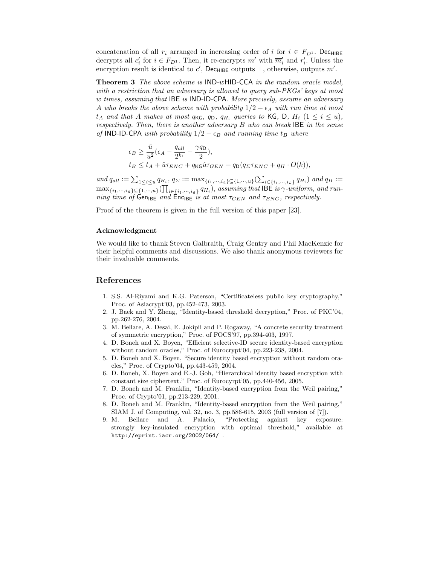concatenation of all  $r_i$  arranged in increasing order of i for  $i \in F_{D^1}$ . Dec<sub>HIBE</sub> decrypts all  $c'_i$  for  $i \in F_{D^1}$ . Then, it re-encrypts m' with  $\overline{m}'_i$  and  $r'_i$ . Unless the encryption result is identical to c', Dec<sub>HIBE</sub> outputs  $\perp$ , otherwise, outputs m'.

**Theorem 3** *The above scheme is* IND-wHID-CCA *in the random oracle model, with a restriction that an adversary is allowed to query sub-PKGs' keys at most* w *times, assuming that* IBE *is* IND-ID-CPA*. More precisely, assume an adversary* A who breaks the above scheme with probability  $1/2 + \epsilon_A$  with run time at most  $t_A$  and that A makes at most  $q_{\mathsf{KG}}, q_{\mathsf{D}}, q_{H_i}$  queries to KG, D,  $H_i$   $(1 \leq i \leq u)$ , *respectively. Then, there is another adversary* B *who can break* IBE *in the sense of* **IND-ID-CPA** *with probability*  $1/2 + \epsilon_B$  *and running time*  $t_B$  *where* 

$$
\epsilon_B \ge \frac{\hat{u}}{u^2} (\epsilon_A - \frac{q_{all}}{2^{k_1}} - \frac{\gamma q_D}{2}),
$$
  
\n
$$
t_B \le t_A + \hat{u}\tau_{ENC} + q_{\mathsf{KG}}\hat{u}\tau_{GEN} + q_D(q_{\varSigma}\tau_{ENC} + q_{\varPi} \cdot O(k)),
$$

 $and\ q_{all} := \sum_{1 \leq i \leq u} q_{H_i}, q_{\Sigma} := \max_{\{i_1, \dots, i_{\hat{u}}\} \subseteq \{1, \dots, u\}} (\sum_{i \in \{i_1, \dots, i_{\hat{u}}\}} q_{H_i}) \ and \ q_{\Pi} :=$  $\max_{\{i_1,\cdots,i_u\}\subseteq\{1,\cdots,u\}}(\prod_{i\in\{i_1,\cdots,i_u\}}q_{H_i}),$  assuming that **IBE** *is*  $\gamma$ -uniform, and run*ning time of* Gen<sub>IBE</sub> *and* Enc<sub>IBE</sub> *is at most*  $\tau_{GEN}$  *and*  $\tau_{ENC}$ *, respectively.* 

Proof of the theorem is given in the full version of this paper [23].

#### **Acknowledgment**

We would like to thank Steven Galbraith, Craig Gentry and Phil MacKenzie for their helpful comments and discussions. We also thank anonymous reviewers for their invaluable comments.

### **References**

- 1. S.S. Al-Riyami and K.G. Paterson, "Certificateless public key cryptography," Proc. of Asiacrypt'03, pp.452-473, 2003.
- 2. J. Baek and Y. Zheng, "Identity-based threshold decryption," Proc. of PKC'04, pp.262-276, 2004.
- 3. M. Bellare, A. Desai, E. Jokipii and P. Rogaway, "A concrete security treatment of symmetric encryption," Proc. of FOCS'97, pp.394-403, 1997.
- 4. D. Boneh and X. Boyen, "Efficient selective-ID secure identity-based encryption without random oracles," Proc. of Eurocrypt'04, pp.223-238, 2004.
- 5. D. Boneh and X. Boyen, "Secure identity based encryption without random oracles," Proc. of Crypto'04, pp.443-459, 2004.
- 6. D. Boneh, X. Boyen and E.-J. Goh, "Hierarchical identity based encryption with constant size ciphertext." Proc. of Eurocyrpt'05, pp.440-456, 2005.
- 7. D. Boneh and M. Franklin, "Identity-based encryption from the Weil pairing," Proc. of Crypto'01, pp.213-229, 2001.
- 8. D. Boneh and M. Franklin, "Identity-based encryption from the Weil pairing," SIAM J. of Computing, vol. 32, no. 3, pp.586-615, 2003 (full version of [7]).
- 9. M. Bellare and A. Palacio, "Protecting against key exposure: strongly key-insulated encryption with optimal threshold," available at http://eprint.iacr.org/2002/064/ .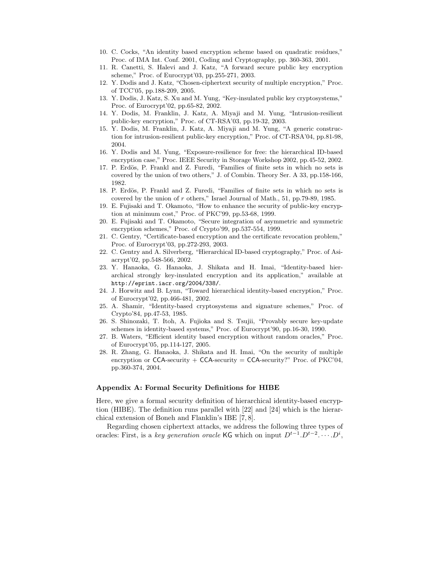- 10. C. Cocks, "An identity based encryption scheme based on quadratic residues," Proc. of IMA Int. Conf. 2001, Coding and Cryptography, pp. 360-363, 2001.
- 11. R. Canetti, S. Halevi and J. Katz, "A forward secure public key encryption scheme," Proc. of Eurocrypt'03, pp.255-271, 2003.
- 12. Y. Dodis and J. Katz, "Chosen-ciphertext security of multiple encryption," Proc. of TCC'05, pp.188-209, 2005.
- 13. Y. Dodis, J. Katz, S. Xu and M. Yung, "Key-insulated public key cryptosystems," Proc. of Eurocrypt'02, pp.65-82, 2002.
- 14. Y. Dodis, M. Franklin, J. Katz, A. Miyaji and M. Yung, "Intrusion-resilient public-key encryption," Proc. of CT-RSA'03, pp.19-32, 2003.
- 15. Y. Dodis, M. Franklin, J. Katz, A. Miyaji and M. Yung, "A generic construction for intrusion-resilient public-key encryption," Proc. of CT-RSA'04, pp.81-98, 2004.
- 16. Y. Dodis and M. Yung, "Exposure-resilience for free: the hierarchical ID-based encryption case," Proc. IEEE Security in Storage Workshop 2002, pp.45-52, 2002.
- 17. P. Erdös, P. Frankl and Z. Furedi, "Families of finite sets in which no sets is covered by the union of two others," J. of Combin. Theory Ser. A 33, pp.158-166, 1982.
- 18. P. Erdös, P. Frankl and Z. Furedi, "Families of finite sets in which no sets is covered by the union of r others," Israel Journal of Math., 51, pp.79-89, 1985.
- 19. E. Fujisaki and T. Okamoto, "How to enhance the security of public-key encryption at minimum cost," Proc. of PKC'99, pp.53-68, 1999.
- 20. E. Fujisaki and T. Okamoto, "Secure integration of asymmetric and symmetric encryption schemes," Proc. of Crypto'99, pp.537-554, 1999.
- 21. C. Gentry, "Certificate-based encryption and the certificate revocation problem," Proc. of Eurocrypt'03, pp.272-293, 2003.
- 22. C. Gentry and A. Silverberg, "Hierarchical ID-based cryptography," Proc. of Asiacrypt'02, pp.548-566, 2002.
- 23. Y. Hanaoka, G. Hanaoka, J. Shikata and H. Imai, "Identity-based hierarchical strongly key-insulated encryption and its application," available at http://eprint.iacr.org/2004/338/.
- 24. J. Horwitz and B. Lynn, "Toward hierarchical identity-based encryption," Proc. of Eurocrypt'02, pp.466-481, 2002.
- 25. A. Shamir, "Identity-based cryptosystems and signature schemes," Proc. of Crypto'84, pp.47-53, 1985.
- 26. S. Shinozaki, T. Itoh, A. Fujioka and S. Tsujii, "Provably secure key-update schemes in identity-based systems," Proc. of Eurocrypt'90, pp.16-30, 1990.
- 27. B. Waters, "Efficient identity based encryption without random oracles," Proc. of Eurocrypt'05, pp.114-127, 2005.
- 28. R. Zhang, G. Hanaoka, J. Shikata and H. Imai, "On the security of multiple encryption or  $CCA$ -security +  $CCA$ -security =  $CCA$ -security?" Proc. of PKC'04, pp.360-374, 2004.

#### **Appendix A: Formal Security Definitions for HIBE**

Here, we give a formal security definition of hierarchical identity-based encryption (HIBE). The definition runs parallel with [22] and [24] which is the hierarchical extension of Boneh and Flanklin's IBE [7, 8].

Regarding chosen ciphertext attacks, we address the following three types of oracles: First, is a *key generation oracle* KG which on input  $D^{t-1} \cdot D^{t-2} \cdot \cdots \cdot D^{i}$ ,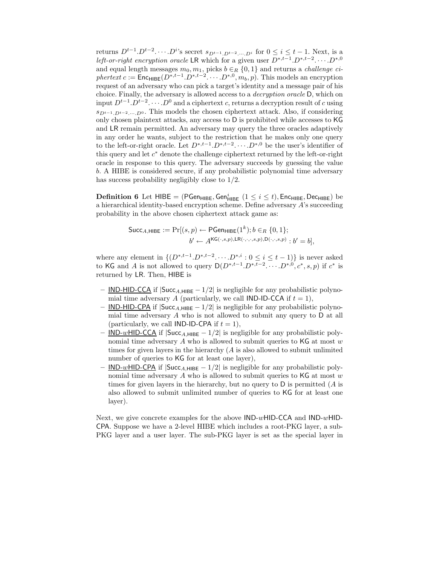returns  $D^{t-1} \cdot D^{t-2} \cdot \cdot \cdot \cdot D^{i}$ 's secret  $s_{D^{t-1} \cdot D^{t-2} \cdot \cdot \cdot \cdot D^{i}}$  for  $0 \leq i \leq t-1$ . Next, is a *left-or-right encryption oracle* LR which for a given user  $D^{*,t-1}.D^{*,t-2}. \cdots D^{*,0}$ and equal length messages  $m_0, m_1$ , picks  $b \in_R \{0, 1\}$  and returns a *challenge ciphertext* c :=  $\overrightarrow{\text{Enc}}_{HIBE}(D^{*,t-1}, D^{*,t-2}, \cdots, D^{*,0}, m_b, p)$ . This models an encryption request of an adversary who can pick a target's identity and a message pair of his choice. Finally, the adversary is allowed access to a *decryption oracle* D, which on input  $D^{t-1} \cdot D^{t-2} \cdot \cdot \cdot \cdot D^0$  and a ciphertext c, returns a decryption result of c using  $s_{D^{t-1},D^{t-2},\dots,D^0}$ . This models the chosen ciphertext attack. Also, if considering only chosen plaintext attacks, any access to D is prohibited while accesses to KG and LR remain permitted. An adversary may query the three oracles adaptively in any order he wants, subject to the restriction that he makes only one query to the left-or-right oracle. Let  $D^{*,t-1}.D^{*,t-2}. \cdots .D^{*,0}$  be the user's identifier of this query and let  $c^*$  denote the challenge ciphertext returned by the left-or-right oracle in response to this query. The adversary succeeds by guessing the value b. A HIBE is considered secure, if any probabilistic polynomial time adversary has success probability negligibly close to 1/2.

**Definition 6** Let  $H$ IBE = (PGen<sub>HIBE</sub>, Gen $_{H$ <sub>IBE</sub> (1  $\leq i \leq t$ ), Enc<sub>HIBE</sub>, Dec<sub>HIBE</sub>) be a hierarchical identity-based encryption scheme. Define adversary  $A$ 's succeeding probability in the above chosen ciphertext attack game as:

$$
\begin{aligned} \mathsf{Succ}_{A,\mathsf{HIBE}} &:= \Pr[(s,p) \leftarrow \mathsf{PGen}_{\mathsf{HIBE}}(1^k); b \in_R \{0,1\}; \\ b' \leftarrow A^{\mathsf{KG}(\cdot,s,p),\mathsf{LR}(\cdot,\cdot,\cdot,s,p),\mathsf{D}(\cdot,\cdot,s,p)}: b' = b], \end{aligned}
$$

where any element in  $\{(D^{*,t-1}.D^{*,t-2}. \cdots D^{*,i}: 0 \le i \le t-1)\}\)$  is never asked to KG and A is not allowed to query  $D(D^{*,t-1}.D^{*,t-2}.\cdots D^{*,0}, c^*, s, p)$  if  $c^*$  is returned by LR. Then, HIBE is

- **–** IND-HID-CCA if |SuccA,HIBE − 1/2| is negligible for any probabilistic polynomial time adversary A (particularly, we call IND-ID-CCA if  $t = 1$ ),
- **–** IND-HID-CPA if |SuccA,HIBE − 1/2| is negligible for any probabilistic polynomial time adversary  $\vec{A}$  who is not allowed to submit any query to  $\vec{D}$  at all (particularly, we call IND-ID-CPA if  $t = 1$ ),
- **–** IND-wHID-CCA if |SuccA,HIBE − 1/2| is negligible for any probabilistic polynomial time adversary  $A$  who is allowed to submit queries to  $KG$  at most  $w$ times for given layers in the hierarchy  $(A$  is also allowed to submit unlimited number of queries to KG for at least one layer),
- **–** IND-wHID-CPA if |SuccA,HIBE − 1/2| is negligible for any probabilistic polynomial time adversary  $A$  who is allowed to submit queries to  $\textsf{KG}$  at most  $w$ times for given layers in the hierarchy, but no query to  $D$  is permitted  $(A$  is also allowed to submit unlimited number of queries to KG for at least one layer).

Next, we give concrete examples for the above  $IND-wHID-CCA$  and  $IND-wHID-$ CPA. Suppose we have a 2-level HIBE which includes a root-PKG layer, a sub-PKG layer and a user layer. The sub-PKG layer is set as the special layer in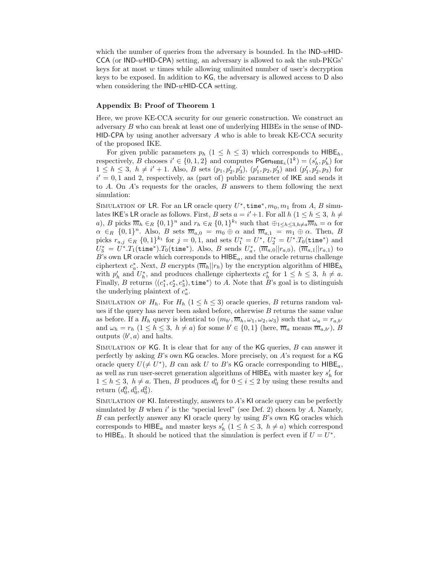which the number of queries from the adversary is bounded. In the  $IND-wHID$ -CCA (or IND-wHID-CPA) setting, an adversary is allowed to ask the sub-PKGs' keys for at most w times while allowing unlimited number of user's decryption keys to be exposed. In addition to KG, the adversary is allowed access to D also when considering the IND-wHID-CCA setting.

### **Appendix B: Proof of Theorem 1**

Here, we prove KE-CCA security for our generic construction. We construct an adversary B who can break at least one of underlying HIBEs in the sense of IND-HID-CPA by using another adversary  $A$  who is able to break KE-CCA security of the proposed IKE.

For given public parameters  $p_h$  (1  $\leq h \leq 3$ ) which corresponds to HIBE<sub>h</sub>, respectively, B chooses  $i' \in \{0, 1, 2\}$  and computes  $\mathsf{PGen}_{\mathsf{HIBE}_h}(\hat{1}^k) = (s'_h, p'_h)$  for  $1 \leq h \leq 3$ ,  $h \neq i' + 1$ . Also, B sets  $(p_1, p'_2, p'_3)$ ,  $(p'_1, p_2, p'_3)$  and  $(p'_1, p'_2, p_3)$  for  $i' = 0, 1$  and 2, respectively, as (part of) public parameter of IKE and sends it to  $A$ . On  $A$ 's requests for the oracles,  $B$  answers to them following the next simulation:

SIMULATION OF LR. For an LR oracle query  $U^*$ , time<sup>\*</sup>,  $m_0$ ,  $m_1$  from A, B simulates IKE's LR oracle as follows. First, B sets  $a = i' + 1$ . For all  $h (1 \le h \le 3, h \ne$ a), B picks  $\overline{m}_h \in_R \{0,1\}^n$  and  $r_h \in_R \{0,1\}^{k_1}$  such that  $\bigoplus_{1 \leq h \leq 3, h \neq a} \overline{m}_h = \alpha$  for  $\alpha \in_R \{0,1\}^n$ . Also, B sets  $\overline{m}_{a,0} = m_0 \oplus \alpha$  and  $\overline{m}_{a,1} = m_1 \oplus \alpha$ . Then, B picks  $r_{a,j} \in_R \{0,1\}^{k_1}$  for  $j = 0,1$ , and sets  $U_1^* = U^*, U_2^* = U^*.T_0(\text{time}^*)$  and  $U_1^* = U^*.T_1(\text{time}^*)$   $T_2(\text{time}^*)$   $\Delta$  lso  $R$  sends  $U_1^*$   $(\overline{m}_{a,2}|_{X}^* )$   $(\overline{m}_{a,1}|_{X}^* )$  to  $U_3^* = U^*.T_1(\text{time}^*).T_0(\text{time}^*).$  Also, B sends  $U_a^*, (\overline{m}_{a,0}||r_{a,0}), (\overline{m}_{a,1}||r_{a,1})$  to  $B_i^*$  own LR oracle which corresponds to HIRE and the oracle returns challenge  $B$ 's own LR oracle which corresponds to  $HIBE_a$ , and the oracle returns challenge ciphertext  $c_a^*$ . Next, B encrypts  $(\overline{m}_h || r_h)$  by the encryption algorithm of  $HIBE_h$ with  $p'_h$  and  $U_h^*$ , and produces challenge ciphertexts  $c_h^*$  for  $1 \leq h \leq 3$ ,  $h \neq a$ . Finally, B returns  $\langle (c_1^*, c_2^*, c_3^*)$ , time<sup>\*</sup> $\rangle$  to A. Note that B's goal is to distinguish the underlying plaintext of  $c^*$ the underlying plaintext of  $c_a^*$ .

SIMULATION OF  $H_h$ . For  $H_h$  ( $1 \leq h \leq 3$ ) oracle queries, B returns random values if the query has never been asked before, otherwise  $B$  returns the same value as before. If a  $H_h$  query is identical to  $(m_{b'}, \overline{m}_h, \omega_1, \omega_2, \omega_3)$  such that  $\omega_a = r_{a,b'}$ and  $\omega_h = r_h \ (1 \leq h \leq 3, \ h \neq a)$  for some  $b' \in \{0,1\}$  (here,  $\overline{m}_a$  means  $\overline{m}_{a,b'}$ ), B outputs  $\langle b', a \rangle$  and halts.

SIMULATION OF  $KG$ . It is clear that for any of the  $KG$  queries,  $B$  can answer it perfectly by asking  $B$ 's own KG oracles. More precisely, on  $A$ 's request for a KG oracle query  $U(\neq U^*)$ , B can ask U to B's KG oracle corresponding to  $HISE_a$ , as well as run user-secret generation algorithms of  $HIBE_h$  with master key  $s'_h$  for  $1 \leq h \leq 3$ ,  $h \neq a$ . Then, B produces  $d_0^i$  for  $0 \leq i \leq 2$  by using these results and return  $(d_0^0, d_0^1, d_0^2)$ .

SIMULATION OF KI. Interestingly, answers to  $A$ 's KI oracle query can be perfectly simulated by  $B$  when  $i'$  is the "special level" (see Def. 2) chosen by  $A$ . Namely, B can perfectly answer any KI oracle query by using B's own KG oracles which corresponds to  $HIBE_a$  and master keys  $s'_h$   $(1 \leq h \leq 3, h \neq a)$  which correspond to HIBE<sub>h</sub>. It should be noticed that the simulation is perfect even if  $U = U^*$ .